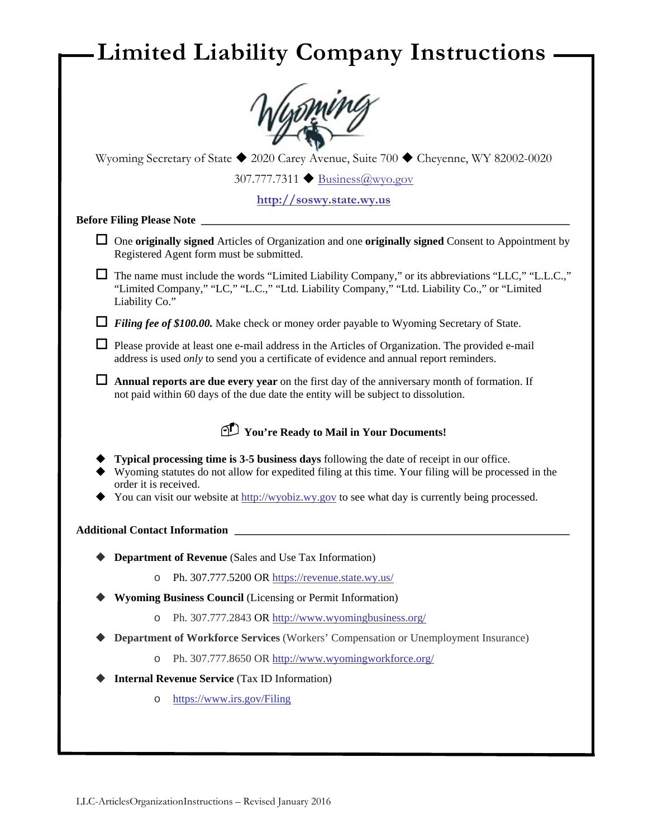|   | Wyoming Secretary of State ◆ 2020 Carey Avenue, Suite 700 ◆ Cheyenne, WY 82002-0020                                                                                                                                                                                                                                            |
|---|--------------------------------------------------------------------------------------------------------------------------------------------------------------------------------------------------------------------------------------------------------------------------------------------------------------------------------|
|   | 307.777.7311 <del>●</del> <b>Business@wyo.gov</b>                                                                                                                                                                                                                                                                              |
|   | http://soswy.state.wy.us                                                                                                                                                                                                                                                                                                       |
|   | <b>Before Filing Please Note</b>                                                                                                                                                                                                                                                                                               |
| ப | One originally signed Articles of Organization and one originally signed Consent to Appointment by<br>Registered Agent form must be submitted.                                                                                                                                                                                 |
|   | $\Box$ The name must include the words "Limited Liability Company," or its abbreviations "LLC," "L.L.C.,"<br>"Limited Company," "LC," "L.C.," "Ltd. Liability Company," "Ltd. Liability Co.," or "Limited<br>Liability Co."                                                                                                    |
|   | Filing fee of \$100.00. Make check or money order payable to Wyoming Secretary of State.                                                                                                                                                                                                                                       |
|   | $\Box$ Please provide at least one e-mail address in the Articles of Organization. The provided e-mail<br>address is used only to send you a certificate of evidence and annual report reminders.                                                                                                                              |
|   | Annual reports are due every year on the first day of the anniversary month of formation. If<br>not paid within 60 days of the due date the entity will be subject to dissolution.                                                                                                                                             |
|   | Tou're Ready to Mail in Your Documents!                                                                                                                                                                                                                                                                                        |
|   | Typical processing time is 3-5 business days following the date of receipt in our office.<br>Wyoming statutes do not allow for expedited filing at this time. Your filing will be processed in the<br>order it is received.<br>You can visit our website at http://wyobiz.wy.gov to see what day is currently being processed. |
|   | <b>Additional Contact Information</b>                                                                                                                                                                                                                                                                                          |
|   | <b>Department of Revenue</b> (Sales and Use Tax Information)                                                                                                                                                                                                                                                                   |
|   | Ph. 307.777.5200 OR https://revenue.state.wy.us/<br>$\circ$                                                                                                                                                                                                                                                                    |
|   | <b>Wyoming Business Council</b> (Licensing or Permit Information)                                                                                                                                                                                                                                                              |
|   | Ph. 307.777.2843 OR http://www.wyomingbusiness.org/<br>$\circ$                                                                                                                                                                                                                                                                 |
|   | Department of Workforce Services (Workers' Compensation or Unemployment Insurance)                                                                                                                                                                                                                                             |
|   | Ph. 307.777.8650 OR http://www.wyomingworkforce.org/<br>$\circ$                                                                                                                                                                                                                                                                |
|   | <b>Internal Revenue Service (Tax ID Information)</b>                                                                                                                                                                                                                                                                           |
|   | https://www.irs.gov/Filing<br>$\circ$                                                                                                                                                                                                                                                                                          |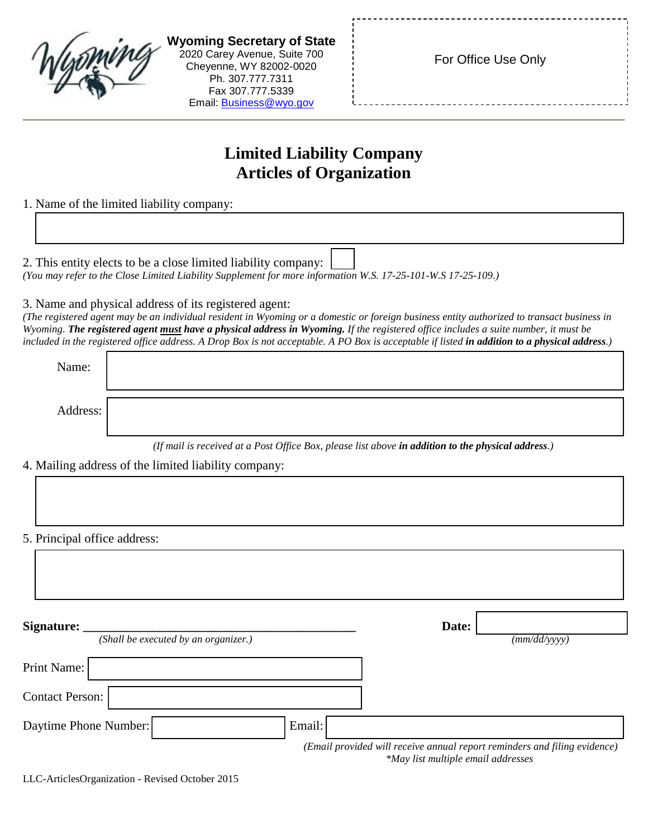| <b>Wyoming Secretary of State</b><br>2020 Carey Avenue, Suite 700<br>Cheyenne, WY 82002-0020<br>Ph. 307.777.7311<br>Fax 307.777.5339<br>Email: Business@wyo.gov                                                                                                                                                                                                                                                                                                                             | For Office Use Only                                                                                             |
|---------------------------------------------------------------------------------------------------------------------------------------------------------------------------------------------------------------------------------------------------------------------------------------------------------------------------------------------------------------------------------------------------------------------------------------------------------------------------------------------|-----------------------------------------------------------------------------------------------------------------|
| <b>Limited Liability Company</b>                                                                                                                                                                                                                                                                                                                                                                                                                                                            |                                                                                                                 |
| <b>Articles of Organization</b>                                                                                                                                                                                                                                                                                                                                                                                                                                                             |                                                                                                                 |
| 1. Name of the limited liability company:                                                                                                                                                                                                                                                                                                                                                                                                                                                   |                                                                                                                 |
|                                                                                                                                                                                                                                                                                                                                                                                                                                                                                             |                                                                                                                 |
| 2. This entity elects to be a close limited liability company:<br>(You may refer to the Close Limited Liability Supplement for more information W.S. 17-25-101-W.S 17-25-109.)                                                                                                                                                                                                                                                                                                              |                                                                                                                 |
| 3. Name and physical address of its registered agent:<br>(The registered agent may be an individual resident in Wyoming or a domestic or foreign business entity authorized to transact business in<br>Wyoming. The registered agent must have a physical address in Wyoming. If the registered office includes a suite number, it must be<br>included in the registered office address. A Drop Box is not acceptable. A PO Box is acceptable if listed in addition to a physical address.) |                                                                                                                 |
| Name:                                                                                                                                                                                                                                                                                                                                                                                                                                                                                       |                                                                                                                 |
| Address:                                                                                                                                                                                                                                                                                                                                                                                                                                                                                    |                                                                                                                 |
| 4. Mailing address of the limited liability company:                                                                                                                                                                                                                                                                                                                                                                                                                                        | (If mail is received at a Post Office Box, please list above in addition to the physical address.)              |
| 5. Principal office address:                                                                                                                                                                                                                                                                                                                                                                                                                                                                |                                                                                                                 |
|                                                                                                                                                                                                                                                                                                                                                                                                                                                                                             |                                                                                                                 |
| Signature:<br>(Shall be executed by an organizer.)                                                                                                                                                                                                                                                                                                                                                                                                                                          | Date:<br>(mm/dd/yyyy)                                                                                           |
| Print Name:                                                                                                                                                                                                                                                                                                                                                                                                                                                                                 |                                                                                                                 |
| <b>Contact Person:</b>                                                                                                                                                                                                                                                                                                                                                                                                                                                                      |                                                                                                                 |
| Daytime Phone Number:<br>Email:                                                                                                                                                                                                                                                                                                                                                                                                                                                             |                                                                                                                 |
|                                                                                                                                                                                                                                                                                                                                                                                                                                                                                             | (Email provided will receive annual report reminders and filing evidence)<br>*May list multiple email addresses |